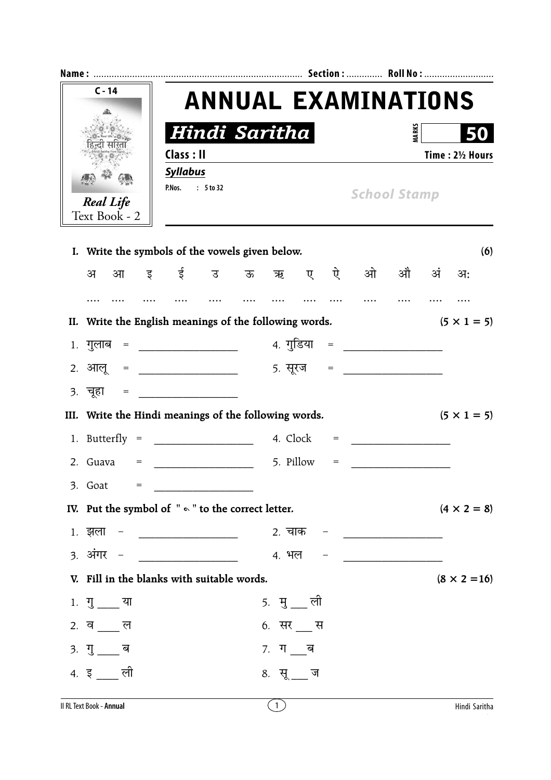| $C - 14$<br><b>Real Life</b><br>Text Book - 2 |                                                                              |                                               | <b>ANNUAL EXAMINATIONS</b> |  |                   |   |                                     |                                 |                                                    |                     |                     |
|-----------------------------------------------|------------------------------------------------------------------------------|-----------------------------------------------|----------------------------|--|-------------------|---|-------------------------------------|---------------------------------|----------------------------------------------------|---------------------|---------------------|
|                                               |                                                                              |                                               | Hindi Saritha              |  |                   |   |                                     |                                 | <b>MARKS</b>                                       |                     |                     |
|                                               |                                                                              | Class: II                                     |                            |  |                   |   |                                     |                                 |                                                    |                     | Time: 21/2 Hours    |
|                                               |                                                                              | <b>Syllabus</b><br>P.Nos. : 5 to 32           |                            |  |                   |   |                                     |                                 |                                                    | <b>School Stamp</b> |                     |
|                                               | I. Write the symbols of the vowels given below.                              |                                               |                            |  |                   |   |                                     |                                 |                                                    |                     | (6)                 |
|                                               | आ इई उऊऋ<br>अ                                                                |                                               |                            |  |                   | ए |                                     | ऐ ओ औ अं अ:                     |                                                    |                     |                     |
|                                               |                                                                              |                                               |                            |  |                   |   |                                     |                                 |                                                    |                     |                     |
|                                               | II. Write the English meanings of the following words.<br>$(5 \times 1 = 5)$ |                                               |                            |  |                   |   |                                     |                                 |                                                    |                     |                     |
|                                               | 1. गुलाब = ________________                                                  |                                               |                            |  |                   |   |                                     | 4. गुडिया   =  ________________ |                                                    |                     |                     |
|                                               | <u>2. आलू = ______________</u>                                               |                                               |                            |  |                   |   |                                     | <u>5. सूरज = ______________</u> |                                                    |                     |                     |
|                                               | <u>3. चूहा = ______________</u>                                              |                                               |                            |  |                   |   |                                     |                                 |                                                    |                     |                     |
|                                               | III. Write the Hindi meanings of the following words.                        |                                               |                            |  |                   |   |                                     |                                 |                                                    | $(5 \times 1 = 5)$  |                     |
|                                               |                                                                              |                                               |                            |  |                   |   | $=$                                 |                                 |                                                    |                     |                     |
|                                               | 2. Guava<br>$=$                                                              |                                               |                            |  | 5. Pillow         |   | $\hspace*{0.4em} = \hspace*{0.4em}$ |                                 | <u> 1980 - Jan Barbara Barat, prima politik po</u> |                     |                     |
|                                               | 3. Goat<br>$=$                                                               |                                               |                            |  |                   |   |                                     |                                 |                                                    |                     |                     |
|                                               | IV. Put the symbol of $" \circ "$ to the correct letter.                     |                                               |                            |  |                   |   |                                     |                                 |                                                    |                     | $(4 \times 2 = 8)$  |
|                                               | $1.$ झला –                                                                   | <u> 1980 - Andrea Andrew Maria (h. 1980).</u> |                            |  |                   |   |                                     |                                 |                                                    |                     |                     |
|                                               | 3. अंगर –                                                                    |                                               |                            |  |                   |   |                                     | 4. भल – <u>— — — — — —</u>      |                                                    |                     |                     |
|                                               |                                                                              | V. Fill in the blanks with suitable words.    |                            |  |                   |   |                                     |                                 |                                                    |                     | $(8 \times 2 = 16)$ |
|                                               | 1. गु ___ या                                                                 |                                               |                            |  | <u>5. मु —</u> ली |   |                                     |                                 |                                                    |                     |                     |
|                                               | 2. व ___ ल                                                                   |                                               |                            |  | 6. सर __ स        |   |                                     |                                 |                                                    |                     |                     |
|                                               | 3. गु___ ब                                                                   |                                               |                            |  | <i>7.</i> ग___ब   |   |                                     |                                 |                                                    |                     |                     |
|                                               | 4. इ ___ ली                                                                  |                                               |                            |  | 8. सू__ज          |   |                                     |                                 |                                                    |                     |                     |